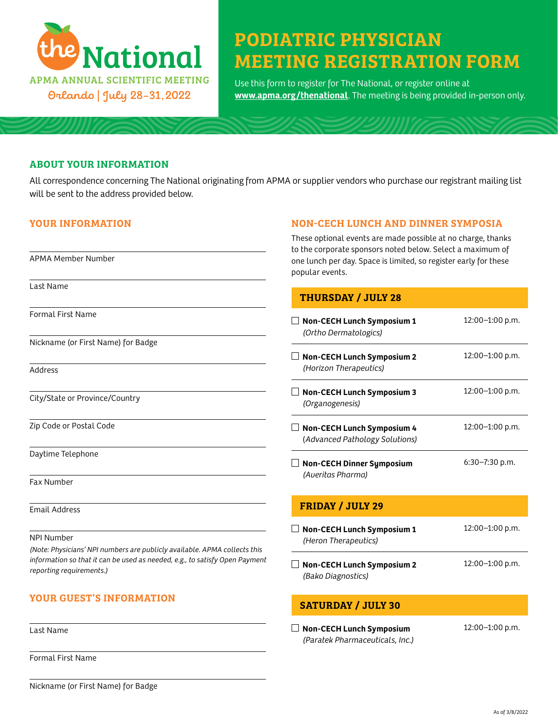

# PODIATRIC PHYSICIAN MEETING REGISTRATION FORM

Use this form to register for The National, or register online at **[www.apma.org/thenational](https://www.apma.org/thenational)**. The meeting is being provided in-person only.

#### ABOUT YOUR INFORMATION

All correspondence concerning The National originating from APMA or supplier vendors who purchase our registrant mailing list will be sent to the address provided below.

#### YOUR INFORMATION

APMA Member Number

## NON-CECH LUNCH AND DINNER SYMPOSIA

These optional events are made possible at no charge, thanks to the corporate sponsors noted below. Select a maximum of one lunch per day. Space is limited, so register early for these popular events.

#### Last Name

Formal First Name

Nickname (or First Name) for Badge

Address

City/State or Province/Country

Zip Code or Postal Code

Daytime Telephone

Fax Number

Email Address

NPI Number

*(Note: Physicians' NPI numbers are publicly available. APMA collects this information so that it can be used as needed, e.g., to satisfy Open Payment reporting requirements.)*

# YOUR GUEST'S INFORMATION

Last Name

Formal First Name

THURSDAY / JULY 28

| <b>Non-CECH Lunch Symposium 1</b><br>(Ortho Dermatologics)          | 12:00-1:00 p.m.    |
|---------------------------------------------------------------------|--------------------|
| <b>Non-CECH Lunch Symposium 2</b><br>(Horizon Therapeutics)         | 12:00-1:00 p.m.    |
| <b>Non-CECH Lunch Symposium 3</b><br>(Organogenesis)                | 12:00-1:00 p.m.    |
| <b>Non-CECH Lunch Symposium 4</b><br>(Advanced Pathology Solutions) | 12:00-1:00 p.m.    |
| <b>Non-CECH Dinner Symposium</b><br>(Averitas Pharma)               | $6:30 - 7:30$ p.m. |
| <b>FRIDAY / JULY 29</b>                                             |                    |
| Non-CECH Lunch Symposium 1<br>(Heron Therapeutics)                  | 12:00-1:00 p.m.    |
| <b>Non-CECH Lunch Symposium 2</b><br>(Bako Diagnostics)             | 12:00-1:00 p.m.    |

# SATURDAY / JULY 30

 **Non-CECH Lunch Symposium** *(Paratek Pharmaceuticals, Inc.)* 12:00–1:00 p.m.

Nickname (or First Name) for Badge